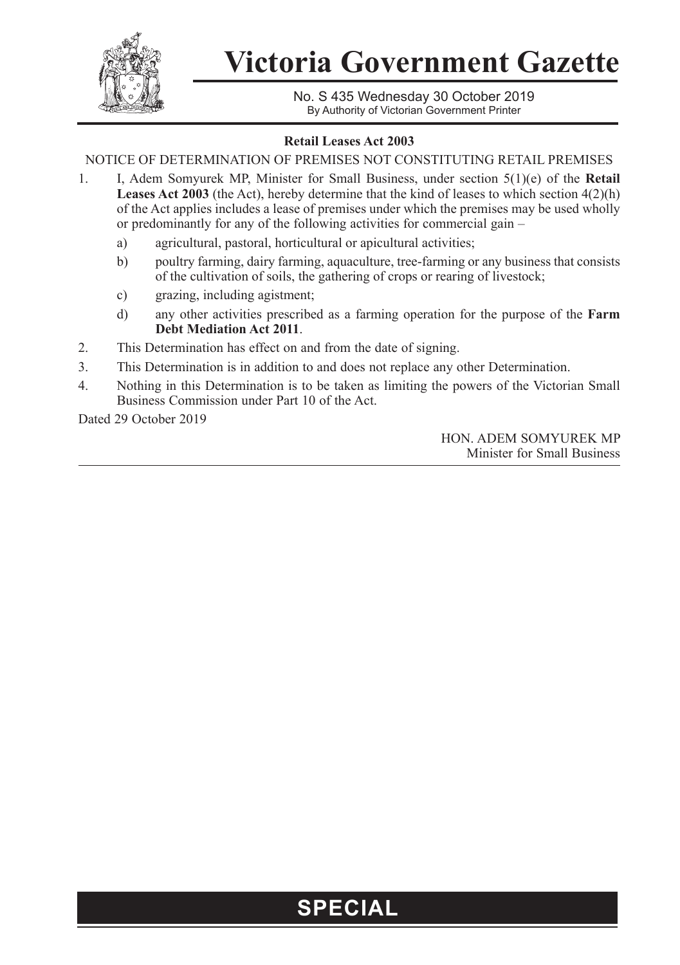

## **Victoria Government Gazette**

No. S 435 Wednesday 30 October 2019 By Authority of Victorian Government Printer

## **Retail Leases Act 2003**

NOTICE OF DETERMINATION OF PREMISES NOT CONSTITUTING RETAIL PREMISES

- 1. I, Adem Somyurek MP, Minister for Small Business, under section 5(1)(e) of the **Retail**  Leases Act 2003 (the Act), hereby determine that the kind of leases to which section 4(2)(h) of the Act applies includes a lease of premises under which the premises may be used wholly or predominantly for any of the following activities for commercial gain –
	- a) agricultural, pastoral, horticultural or apicultural activities;
	- b) poultry farming, dairy farming, aquaculture, tree-farming or any business that consists of the cultivation of soils, the gathering of crops or rearing of livestock;
	- c) grazing, including agistment;
	- d) any other activities prescribed as a farming operation for the purpose of the **Farm Debt Mediation Act 2011**.
- 2. This Determination has effect on and from the date of signing.
- 3. This Determination is in addition to and does not replace any other Determination.
- 4. Nothing in this Determination is to be taken as limiting the powers of the Victorian Small Business Commission under Part 10 of the Act.

Dated 29 October 2019

HON. ADEM SOMYUREK MP Minister for Small Business

## **SPECIAL**